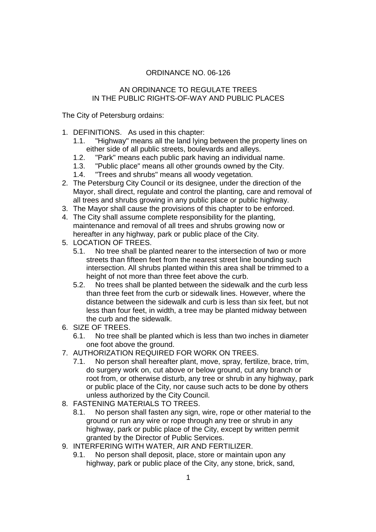## ORDINANCE NO. 06-126

## AN ORDINANCE TO REGULATE TREES IN THE PUBLIC RIGHTS-OF-WAY AND PUBLIC PLACES

The City of Petersburg ordains:

- 1. DEFINITIONS. As used in this chapter:
	- 1.1. "Highway" means all the land lying between the property lines on either side of all public streets, boulevards and alleys.
	- 1.2. "Park" means each public park having an individual name.
	- 1.3. "Public place" means all other grounds owned by the City.
	- 1.4. "Trees and shrubs" means all woody vegetation.
- 2. The Petersburg City Council or its designee, under the direction of the Mayor, shall direct, regulate and control the planting, care and removal of all trees and shrubs growing in any public place or public highway.
- 3. The Mayor shall cause the provisions of this chapter to be enforced.
- 4. The City shall assume complete responsibility for the planting, maintenance and removal of all trees and shrubs growing now or hereafter in any highway, park or public place of the City.
- 5. LOCATION OF TREES.
	- 5.1. No tree shall be planted nearer to the intersection of two or more streets than fifteen feet from the nearest street line bounding such intersection. All shrubs planted within this area shall be trimmed to a height of not more than three feet above the curb.
	- 5.2. No trees shall be planted between the sidewalk and the curb less than three feet from the curb or sidewalk lines. However, where the distance between the sidewalk and curb is less than six feet, but not less than four feet, in width, a tree may be planted midway between the curb and the sidewalk.
- 6. SIZE OF TREES.
	- 6.1. No tree shall be planted which is less than two inches in diameter one foot above the ground.
- 7. AUTHORIZATION REQUIRED FOR WORK ON TREES.
	- 7.1. No person shall hereafter plant, move, spray, fertilize, brace, trim, do surgery work on, cut above or below ground, cut any branch or root from, or otherwise disturb, any tree or shrub in any highway, park or public place of the City, nor cause such acts to be done by others unless authorized by the City Council.
- 8. FASTENING MATERIALS TO TREES.
	- 8.1. No person shall fasten any sign, wire, rope or other material to the ground or run any wire or rope through any tree or shrub in any highway, park or public place of the City, except by written permit granted by the Director of Public Services.
- 9. INTERFERING WITH WATER, AIR AND FERTILIZER.
	- 9.1. No person shall deposit, place, store or maintain upon any highway, park or public place of the City, any stone, brick, sand,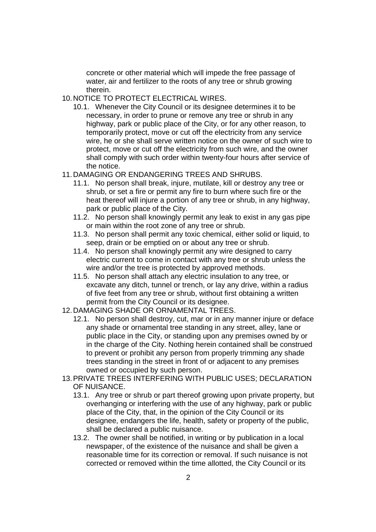concrete or other material which will impede the free passage of water, air and fertilizer to the roots of any tree or shrub growing therein.

- 10. NOTICE TO PROTECT ELECTRICAL WIRES.
	- 10.1. Whenever the City Council or its designee determines it to be necessary, in order to prune or remove any tree or shrub in any highway, park or public place of the City, or for any other reason, to temporarily protect, move or cut off the electricity from any service wire, he or she shall serve written notice on the owner of such wire to protect, move or cut off the electricity from such wire, and the owner shall comply with such order within twenty-four hours after service of the notice.
- 11. DAMAGING OR ENDANGERING TREES AND SHRUBS.
	- 11.1. No person shall break, injure, mutilate, kill or destroy any tree or shrub, or set a fire or permit any fire to burn where such fire or the heat thereof will injure a portion of any tree or shrub, in any highway, park or public place of the City.
	- 11.2. No person shall knowingly permit any leak to exist in any gas pipe or main within the root zone of any tree or shrub.
	- 11.3. No person shall permit any toxic chemical, either solid or liquid, to seep, drain or be emptied on or about any tree or shrub.
	- 11.4. No person shall knowingly permit any wire designed to carry electric current to come in contact with any tree or shrub unless the wire and/or the tree is protected by approved methods.
	- 11.5. No person shall attach any electric insulation to any tree, or excavate any ditch, tunnel or trench, or lay any drive, within a radius of five feet from any tree or shrub, without first obtaining a written permit from the City Council or its designee.
- 12. DAMAGING SHADE OR ORNAMENTAL TREES.
	- 12.1. No person shall destroy, cut, mar or in any manner injure or deface any shade or ornamental tree standing in any street, alley, lane or public place in the City, or standing upon any premises owned by or in the charge of the City. Nothing herein contained shall be construed to prevent or prohibit any person from properly trimming any shade trees standing in the street in front of or adjacent to any premises owned or occupied by such person.
- 13. PRIVATE TREES INTERFERING WITH PUBLIC USES; DECLARATION OF NUISANCE.
	- 13.1. Any tree or shrub or part thereof growing upon private property, but overhanging or interfering with the use of any highway, park or public place of the City, that, in the opinion of the City Council or its designee, endangers the life, health, safety or property of the public, shall be declared a public nuisance.
	- 13.2. The owner shall be notified, in writing or by publication in a local newspaper, of the existence of the nuisance and shall be given a reasonable time for its correction or removal. If such nuisance is not corrected or removed within the time allotted, the City Council or its